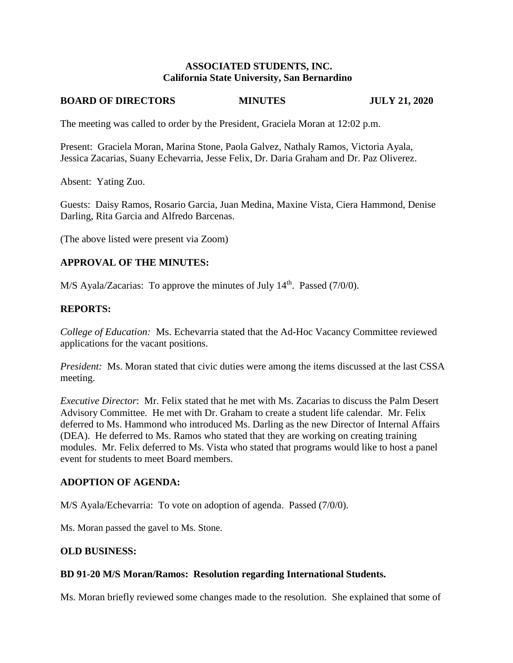### **ASSOCIATED STUDENTS, INC. California State University, San Bernardino**

#### **BOARD OF DIRECTORS MINUTES JULY 21, 2020**

The meeting was called to order by the President, Graciela Moran at 12:02 p.m.

Present: Graciela Moran, Marina Stone, Paola Galvez, Nathaly Ramos, Victoria Ayala, Jessica Zacarias, Suany Echevarria, Jesse Felix, Dr. Daria Graham and Dr. Paz Oliverez.

Absent: Yating Zuo.

Guests: Daisy Ramos, Rosario Garcia, Juan Medina, Maxine Vista, Ciera Hammond, Denise Darling, Rita Garcia and Alfredo Barcenas.

(The above listed were present via Zoom)

### **APPROVAL OF THE MINUTES:**

M/S Ayala/Zacarias: To approve the minutes of July 14<sup>th</sup>. Passed (7/0/0).

### **REPORTS:**

*College of Education:* Ms. Echevarria stated that the Ad-Hoc Vacancy Committee reviewed applications for the vacant positions.

*President:* Ms. Moran stated that civic duties were among the items discussed at the last CSSA meeting.

*Executive Director*: Mr. Felix stated that he met with Ms. Zacarias to discuss the Palm Desert Advisory Committee. He met with Dr. Graham to create a student life calendar. Mr. Felix deferred to Ms. Hammond who introduced Ms. Darling as the new Director of Internal Affairs (DEA). He deferred to Ms. Ramos who stated that they are working on creating training modules. Mr. Felix deferred to Ms. Vista who stated that programs would like to host a panel event for students to meet Board members.

### **ADOPTION OF AGENDA:**

M/S Ayala/Echevarria: To vote on adoption of agenda. Passed (7/0/0).

Ms. Moran passed the gavel to Ms. Stone.

### **OLD BUSINESS:**

### **BD 91-20 M/S Moran/Ramos: Resolution regarding International Students.**

Ms. Moran briefly reviewed some changes made to the resolution. She explained that some of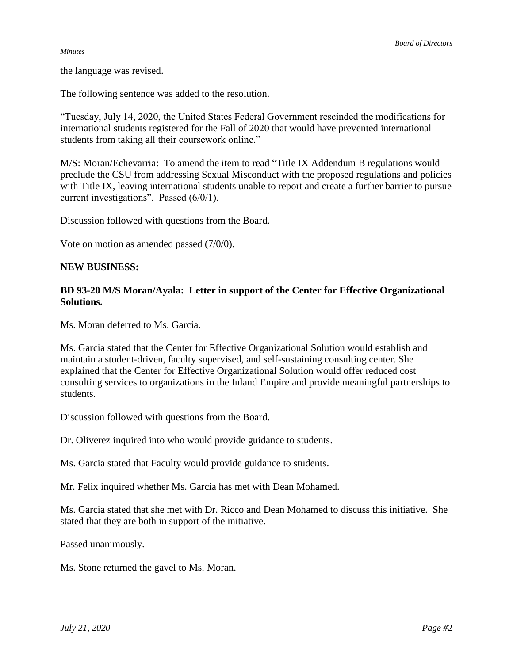#### *Minutes*

the language was revised.

The following sentence was added to the resolution.

"Tuesday, July 14, 2020, the United States Federal Government rescinded the modifications for international students registered for the Fall of 2020 that would have prevented international students from taking all their coursework online."

M/S: Moran/Echevarria: To amend the item to read "Title IX Addendum B regulations would preclude the CSU from addressing Sexual Misconduct with the proposed regulations and policies with Title IX, leaving international students unable to report and create a further barrier to pursue current investigations". Passed (6/0/1).

Discussion followed with questions from the Board.

Vote on motion as amended passed (7/0/0).

#### **NEW BUSINESS:**

## **BD 93-20 M/S Moran/Ayala: Letter in support of the Center for Effective Organizational Solutions.**

Ms. Moran deferred to Ms. Garcia.

Ms. Garcia stated that the Center for Effective Organizational Solution would establish and maintain a student-driven, faculty supervised, and self-sustaining consulting center. She explained that the Center for Effective Organizational Solution would offer reduced cost consulting services to organizations in the Inland Empire and provide meaningful partnerships to students.

Discussion followed with questions from the Board.

Dr. Oliverez inquired into who would provide guidance to students.

Ms. Garcia stated that Faculty would provide guidance to students.

Mr. Felix inquired whether Ms. Garcia has met with Dean Mohamed.

Ms. Garcia stated that she met with Dr. Ricco and Dean Mohamed to discuss this initiative. She stated that they are both in support of the initiative.

Passed unanimously.

Ms. Stone returned the gavel to Ms. Moran.